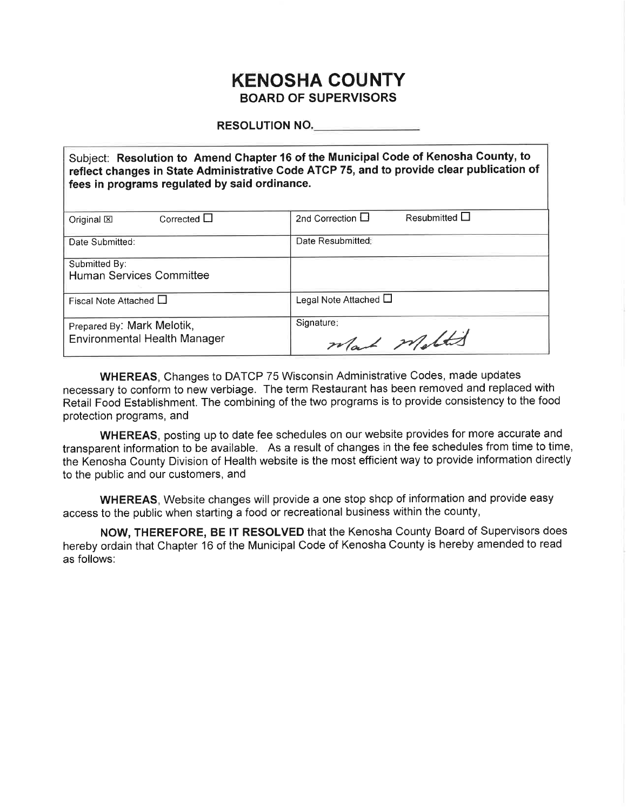# **KENOSHA COUNTY BOARD OF SUPERVISORS**

**RESOLUTION NO.** 

Subject: Resolution to Amend Chapter 16 of the Municipal Code of Kenosha County, to reflect changes in State Administrative Code ATCP 75, and to provide clear publication of fees in programs regulated by said ordinance.

| Corrected $\Box$<br>Original $\boxtimes$                          | Resubmitted $\Box$<br>2nd Correction $\Box$ |
|-------------------------------------------------------------------|---------------------------------------------|
| Date Submitted:                                                   | Date Resubmitted:                           |
| Submitted By:<br><b>Human Services Committee</b>                  |                                             |
| Fiscal Note Attached $\Box$                                       | Legal Note Attached $\Box$                  |
| Prepared By: Mark Melotik,<br><b>Environmental Health Manager</b> | Signature:<br>Wat match                     |

**WHEREAS, Changes to DATCP 75 Wisconsin Administrative Codes, made updates** necessary to conform to new verbiage. The term Restaurant has been removed and replaced with Retail Food Establishment. The combining of the two programs is to provide consistency to the food protection programs, and

WHEREAS, posting up to date fee schedules on our website provides for more accurate and transparent information to be available. As a result of changes in the fee schedules from time to time, the Kenosha County Division of Health website is the most efficient way to provide information directly to the public and our customers, and

WHEREAS, Website changes will provide a one stop shop of information and provide easy access to the public when starting a food or recreational business within the county,

NOW, THEREFORE, BE IT RESOLVED that the Kenosha County Board of Supervisors does hereby ordain that Chapter 16 of the Municipal Code of Kenosha County is hereby amended to read as follows: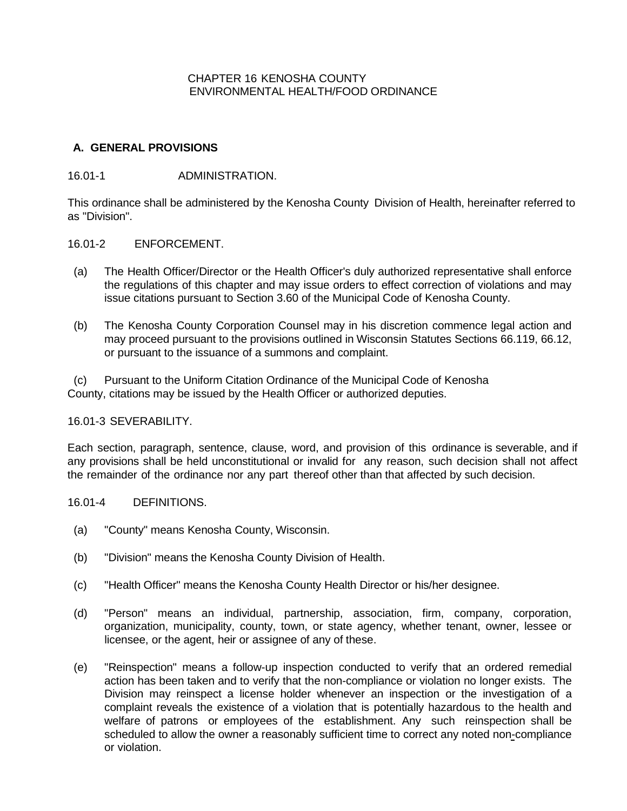### CHAPTER 16 KENOSHA COUNTY ENVIRONMENTAL HEALTH/FOOD ORDINANCE

### **A. GENERAL PROVISIONS**

### 16.01-1 ADMINISTRATION.

This ordinance shall be administered by the Kenosha County Division of Health, hereinafter referred to as "Division".

### 16.01-2 ENFORCEMENT.

- (a) The Health Officer/Director or the Health Officer's duly authorized representative shall enforce the regulations of this chapter and may issue orders to effect correction of violations and may issue citations pursuant to Section 3.60 of the Municipal Code of Kenosha County.
- (b) The Kenosha County Corporation Counsel may in his discretion commence legal action and may proceed pursuant to the provisions outlined in Wisconsin Statutes Sections 66.119, 66.12, or pursuant to the issuance of a summons and complaint.

(c) Pursuant to the Uniform Citation Ordinance of the Municipal Code of Kenosha County, citations may be issued by the Health Officer or authorized deputies.

### 16.01-3 SEVERABILITY.

Each section, paragraph, sentence, clause, word, and provision of this ordinance is severable, and if any provisions shall be held unconstitutional or invalid for any reason, such decision shall not affect the remainder of the ordinance nor any part thereof other than that affected by such decision.

### 16.01-4 DEFINITIONS.

- (a) "County" means Kenosha County, Wisconsin.
- (b) "Division" means the Kenosha County Division of Health.
- (c) "Health Officer" means the Kenosha County Health Director or his/her designee.
- (d) "Person" means an individual, partnership, association, firm, company, corporation, organization, municipality, county, town, or state agency, whether tenant, owner, lessee or licensee, or the agent, heir or assignee of any of these.
- (e) "Reinspection" means a follow-up inspection conducted to verify that an ordered remedial action has been taken and to verify that the non-compliance or violation no longer exists. The Division may reinspect a license holder whenever an inspection or the investigation of a complaint reveals the existence of a violation that is potentially hazardous to the health and welfare of patrons or employees of the establishment. Any such reinspection shall be scheduled to allow the owner a reasonably sufficient time to correct any noted non-compliance or violation.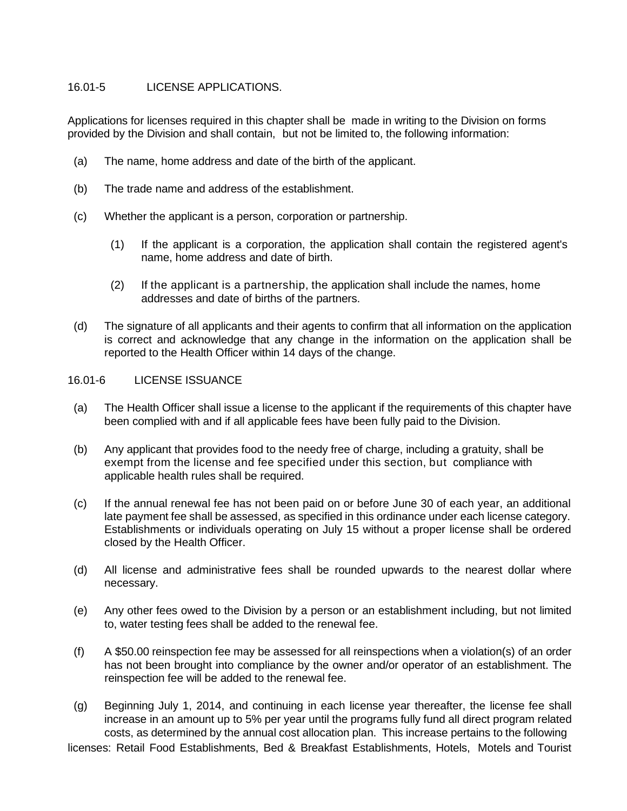# 16.01-5 LICENSE APPLICATIONS.

Applications for licenses required in this chapter shall be made in writing to the Division on forms provided by the Division and shall contain, but not be limited to, the following information:

- (a) The name, home address and date of the birth of the applicant.
- (b) The trade name and address of the establishment.
- (c) Whether the applicant is a person, corporation or partnership.
	- (1) If the applicant is a corporation, the application shall contain the registered agent's name, home address and date of birth.
	- (2) If the applicant is a partnership, the application shall include the names, home addresses and date of births of the partners.
- (d) The signature of all applicants and their agents to confirm that all information on the application is correct and acknowledge that any change in the information on the application shall be reported to the Health Officer within 14 days of the change.

# 16.01-6 LICENSE ISSUANCE

- (a) The Health Officer shall issue a license to the applicant if the requirements of this chapter have been complied with and if all applicable fees have been fully paid to the Division.
- (b) Any applicant that provides food to the needy free of charge, including a gratuity, shall be exempt from the license and fee specified under this section, but compliance with applicable health rules shall be required.
- (c) If the annual renewal fee has not been paid on or before June 30 of each year, an additional late payment fee shall be assessed, as specified in this ordinance under each license category. Establishments or individuals operating on July 15 without a proper license shall be ordered closed by the Health Officer.
- (d) All license and administrative fees shall be rounded upwards to the nearest dollar where necessary.
- (e) Any other fees owed to the Division by a person or an establishment including, but not limited to, water testing fees shall be added to the renewal fee.
- (f) A \$50.00 reinspection fee may be assessed for all reinspections when a violation(s) of an order has not been brought into compliance by the owner and/or operator of an establishment. The reinspection fee will be added to the renewal fee.
- (g) Beginning July 1, 2014, and continuing in each license year thereafter, the license fee shall increase in an amount up to 5% per year until the programs fully fund all direct program related costs, as determined by the annual cost allocation plan. This increase pertains to the following

licenses: Retail Food Establishments, Bed & Breakfast Establishments, Hotels, Motels and Tourist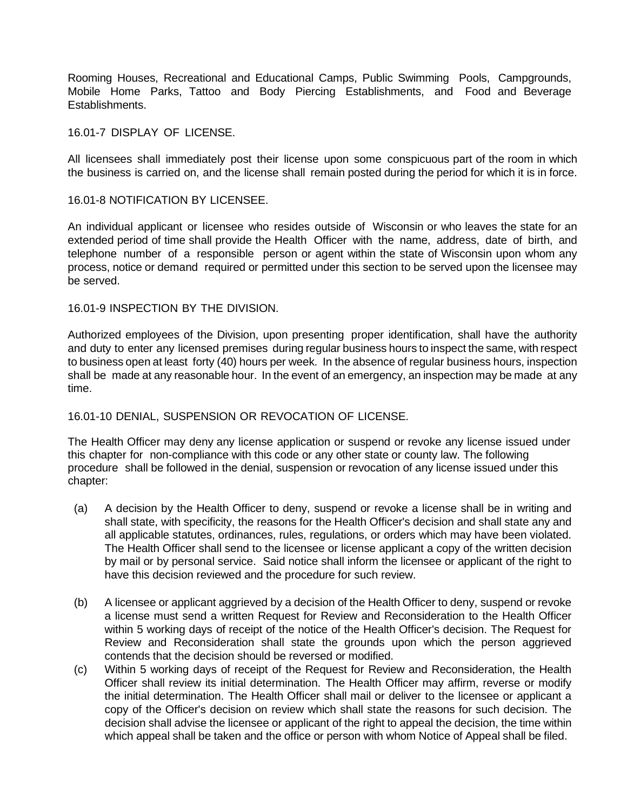Rooming Houses, Recreational and Educational Camps, Public Swimming Pools, Campgrounds, Mobile Home Parks, Tattoo and Body Piercing Establishments, and Food and Beverage Establishments.

### 16.01-7 DISPLAY OF LICENSE.

All licensees shall immediately post their license upon some conspicuous part of the room in which the business is carried on, and the license shall remain posted during the period for which it is in force.

#### 16.01-8 NOTIFICATION BY LICENSEE.

An individual applicant or licensee who resides outside of Wisconsin or who leaves the state for an extended period of time shall provide the Health Officer with the name, address, date of birth, and telephone number of a responsible person or agent within the state of Wisconsin upon whom any process, notice or demand required or permitted under this section to be served upon the licensee may be served.

#### 16.01-9 INSPECTION BY THE DIVISION.

Authorized employees of the Division, upon presenting proper identification, shall have the authority and duty to enter any licensed premises during regular business hours to inspect the same, with respect to business open at least forty (40) hours per week. In the absence of regular business hours, inspection shall be made at any reasonable hour. In the event of an emergency, an inspection may be made at any time.

### 16.01-10 DENIAL, SUSPENSION OR REVOCATION OF LICENSE.

The Health Officer may deny any license application or suspend or revoke any license issued under this chapter for non-compliance with this code or any other state or county law. The following procedure shall be followed in the denial, suspension or revocation of any license issued under this chapter:

- (a) A decision by the Health Officer to deny, suspend or revoke a license shall be in writing and shall state, with specificity, the reasons for the Health Officer's decision and shall state any and all applicable statutes, ordinances, rules, regulations, or orders which may have been violated. The Health Officer shall send to the licensee or license applicant a copy of the written decision by mail or by personal service. Said notice shall inform the licensee or applicant of the right to have this decision reviewed and the procedure for such review.
- (b) A licensee or applicant aggrieved by a decision of the Health Officer to deny, suspend or revoke a license must send a written Request for Review and Reconsideration to the Health Officer within 5 working days of receipt of the notice of the Health Officer's decision. The Request for Review and Reconsideration shall state the grounds upon which the person aggrieved contends that the decision should be reversed or modified.
- (c) Within 5 working days of receipt of the Request for Review and Reconsideration, the Health Officer shall review its initial determination. The Health Officer may affirm, reverse or modify the initial determination. The Health Officer shall mail or deliver to the licensee or applicant a copy of the Officer's decision on review which shall state the reasons for such decision. The decision shall advise the licensee or applicant of the right to appeal the decision, the time within which appeal shall be taken and the office or person with whom Notice of Appeal shall be filed.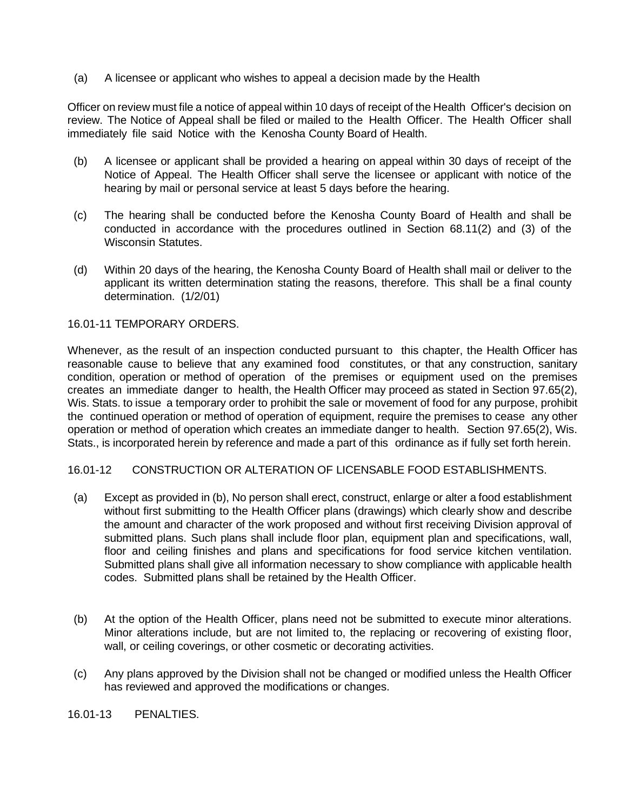(a) A licensee or applicant who wishes to appeal a decision made by the Health

Officer on review must file a notice of appeal within 10 days of receipt of the Health Officer's decision on review. The Notice of Appeal shall be filed or mailed to the Health Officer. The Health Officer shall immediately file said Notice with the Kenosha County Board of Health.

- (b) A licensee or applicant shall be provided a hearing on appeal within 30 days of receipt of the Notice of Appeal. The Health Officer shall serve the licensee or applicant with notice of the hearing by mail or personal service at least 5 days before the hearing.
- (c) The hearing shall be conducted before the Kenosha County Board of Health and shall be conducted in accordance with the procedures outlined in Section 68.11(2) and (3) of the Wisconsin Statutes.
- (d) Within 20 days of the hearing, the Kenosha County Board of Health shall mail or deliver to the applicant its written determination stating the reasons, therefore. This shall be a final county determination. (1/2/01)

### 16.01-11 TEMPORARY ORDERS.

Whenever, as the result of an inspection conducted pursuant to this chapter, the Health Officer has reasonable cause to believe that any examined food constitutes, or that any construction, sanitary condition, operation or method of operation of the premises or equipment used on the premises creates an immediate danger to health, the Health Officer may proceed as stated in Section 97.65(2), Wis. Stats. to issue a temporary order to prohibit the sale or movement of food for any purpose, prohibit the continued operation or method of operation of equipment, require the premises to cease any other operation or method of operation which creates an immediate danger to health. Section 97.65(2), Wis. Stats., is incorporated herein by reference and made a part of this ordinance as if fully set forth herein.

### 16.01-12 CONSTRUCTION OR ALTERATION OF LICENSABLE FOOD ESTABLISHMENTS.

- (a) Except as provided in (b), No person shall erect, construct, enlarge or alter a food establishment without first submitting to the Health Officer plans (drawings) which clearly show and describe the amount and character of the work proposed and without first receiving Division approval of submitted plans. Such plans shall include floor plan, equipment plan and specifications, wall, floor and ceiling finishes and plans and specifications for food service kitchen ventilation. Submitted plans shall give all information necessary to show compliance with applicable health codes. Submitted plans shall be retained by the Health Officer.
- (b) At the option of the Health Officer, plans need not be submitted to execute minor alterations. Minor alterations include, but are not limited to, the replacing or recovering of existing floor, wall, or ceiling coverings, or other cosmetic or decorating activities.
- (c) Any plans approved by the Division shall not be changed or modified unless the Health Officer has reviewed and approved the modifications or changes.

16.01-13 PENALTIES.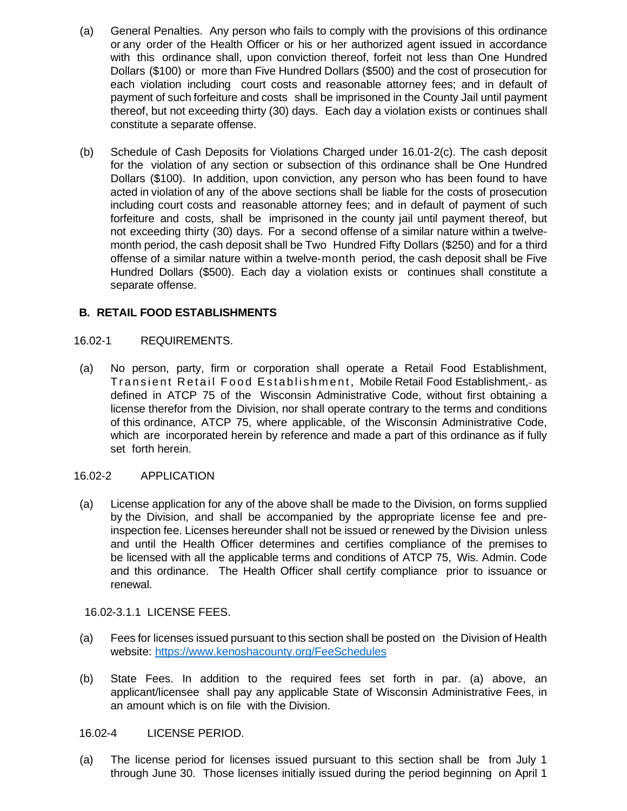- (a) General Penalties. Any person who fails to comply with the provisions of this ordinance or any order of the Health Officer or his or her authorized agent issued in accordance with this ordinance shall, upon conviction thereof, forfeit not less than One Hundred Dollars (\$100) or more than Five Hundred Dollars (\$500) and the cost of prosecution for each violation including court costs and reasonable attorney fees; and in default of payment of such forfeiture and costs shall be imprisoned in the County Jail until payment thereof, but not exceeding thirty (30) days. Each day a violation exists or continues shall constitute a separate offense.
- (b) Schedule of Cash Deposits for Violations Charged under 16.01-2(c). The cash deposit for the violation of any section or subsection of this ordinance shall be One Hundred Dollars (\$100). In addition, upon conviction, any person who has been found to have acted in violation of any of the above sections shall be liable for the costs of prosecution including court costs and reasonable attorney fees; and in default of payment of such forfeiture and costs, shall be imprisoned in the county jail until payment thereof, but not exceeding thirty (30) days. For a second offense of a similar nature within a twelvemonth period, the cash deposit shall be Two Hundred Fifty Dollars (\$250) and for a third offense of a similar nature within a twelve-month period, the cash deposit shall be Five Hundred Dollars (\$500). Each day a violation exists or continues shall constitute a separate offense.

# **B. RETAIL FOOD ESTABLISHMENTS**

### 16.02-1 REQUIREMENTS.

(a) No person, party, firm or corporation shall operate a Retail Food Establishment, Transient Retail Food Establishment , Mobile Retail Food Establishment, as defined in ATCP 75 of the Wisconsin Administrative Code, without first obtaining a license therefor from the Division, nor shall operate contrary to the terms and conditions of this ordinance, ATCP 75, where applicable, of the Wisconsin Administrative Code, which are incorporated herein by reference and made a part of this ordinance as if fully set forth herein.

# 16.02-2 APPLICATION

(a) License application for any of the above shall be made to the Division, on forms supplied by the Division, and shall be accompanied by the appropriate license fee and preinspection fee. Licenses hereunder shall not be issued or renewed by the Division unless and until the Health Officer determines and certifies compliance of the premises to be licensed with all the applicable terms and conditions of ATCP 75, Wis. Admin. Code and this ordinance. The Health Officer shall certify compliance prior to issuance or renewal.

16.02-3.1.1 LICENSE FEES.

- (a) Fees for licenses issued pursuant to this section shall be posted on the Division of Health website: [https://www.kenoshacounty.org/FeeSchedules](https://gcc02.safelinks.protection.outlook.com/?url=https%3A%2F%2Fwww.kenoshacounty.org%2FFeeSchedules&data=04%7C01%7CMark.Melotik%40kenoshacounty.org%7Cd19d54b4d22d4a99cb2308d9e0f2ba94%7C398ef54a8fda4dbc9488d353f54c7af3%7C1%7C0%7C637788155377071208%7CUnknown%7CTWFpbGZsb3d8eyJWIjoiMC4wLjAwMDAiLCJQIjoiV2luMzIiLCJBTiI6Ik1haWwiLCJXVCI6Mn0%3D%7C3000&sdata=4Z5fXvLkNmQzkQpYzWfm3P6335tKlxO2P%2Ffv0uXxPas%3D&reserved=0)
- (b) State Fees. In addition to the required fees set forth in par. (a) above, an applicant/licensee shall pay any applicable State of Wisconsin Administrative Fees, in an amount which is on file with the Division.

# 16.02-4 LICENSE PERIOD.

(a) The license period for licenses issued pursuant to this section shall be from July 1 through June 30. Those licenses initially issued during the period beginning on April 1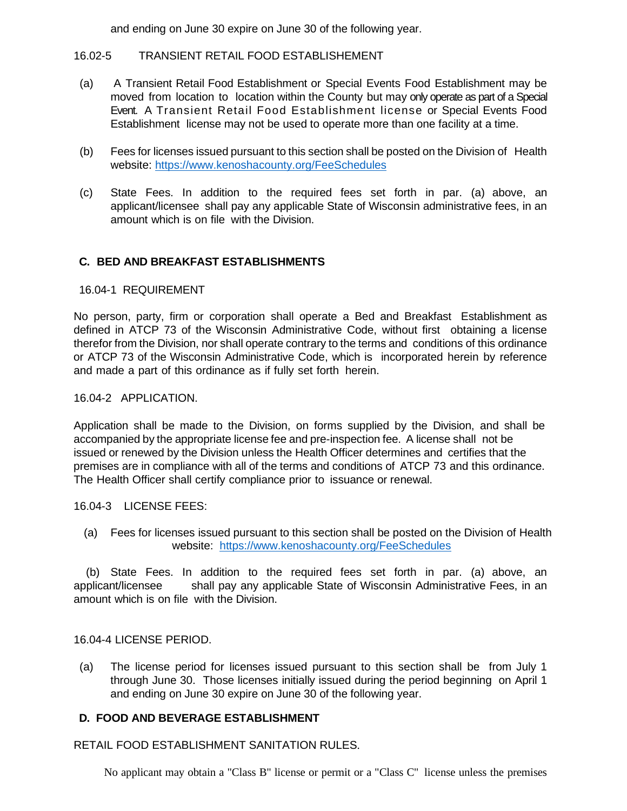and ending on June 30 expire on June 30 of the following year.

# 16.02-5 TRANSIENT RETAIL FOOD ESTABLISHEMENT

- (a) A Transient Retail Food Establishment or Special Events Food Establishment may be moved from location to location within the County but may only operate as part of a Special Event. A Transient Retail Food Establishment license or Special Events Food Establishment license may not be used to operate more than one facility at a time.
- (b) Fees for licenses issued pursuant to this section shall be posted on the Division of Health website: [https://www.kenoshacounty.org/FeeSchedules](https://gcc02.safelinks.protection.outlook.com/?url=https%3A%2F%2Fwww.kenoshacounty.org%2FFeeSchedules&data=04%7C01%7CMark.Melotik%40kenoshacounty.org%7Cd19d54b4d22d4a99cb2308d9e0f2ba94%7C398ef54a8fda4dbc9488d353f54c7af3%7C1%7C0%7C637788155377071208%7CUnknown%7CTWFpbGZsb3d8eyJWIjoiMC4wLjAwMDAiLCJQIjoiV2luMzIiLCJBTiI6Ik1haWwiLCJXVCI6Mn0%3D%7C3000&sdata=4Z5fXvLkNmQzkQpYzWfm3P6335tKlxO2P%2Ffv0uXxPas%3D&reserved=0)
- (c) State Fees. In addition to the required fees set forth in par. (a) above, an applicant/licensee shall pay any applicable State of Wisconsin administrative fees, in an amount which is on file with the Division.

# **C. BED AND BREAKFAST ESTABLISHMENTS**

### 16.04-1 REQUIREMENT

No person, party, firm or corporation shall operate a Bed and Breakfast Establishment as defined in ATCP 73 of the Wisconsin Administrative Code, without first obtaining a license therefor from the Division, nor shall operate contrary to the terms and conditions of this ordinance or ATCP 73 of the Wisconsin Administrative Code, which is incorporated herein by reference and made a part of this ordinance as if fully set forth herein.

### 16.04-2 APPLICATION.

Application shall be made to the Division, on forms supplied by the Division, and shall be accompanied by the appropriate license fee and pre-inspection fee. A license shall not be issued or renewed by the Division unless the Health Officer determines and certifies that the premises are in compliance with all of the terms and conditions of ATCP 73 and this ordinance. The Health Officer shall certify compliance prior to issuance or renewal.

### 16.04-3 LICENSE FEES:

(a) Fees for licenses issued pursuant to this section shall be posted on the Division of Health website: [https://www.kenoshacounty.org/FeeSchedules](https://gcc02.safelinks.protection.outlook.com/?url=https%3A%2F%2Fwww.kenoshacounty.org%2FFeeSchedules&data=04%7C01%7CMark.Melotik%40kenoshacounty.org%7Cd19d54b4d22d4a99cb2308d9e0f2ba94%7C398ef54a8fda4dbc9488d353f54c7af3%7C1%7C0%7C637788155377071208%7CUnknown%7CTWFpbGZsb3d8eyJWIjoiMC4wLjAwMDAiLCJQIjoiV2luMzIiLCJBTiI6Ik1haWwiLCJXVCI6Mn0%3D%7C3000&sdata=4Z5fXvLkNmQzkQpYzWfm3P6335tKlxO2P%2Ffv0uXxPas%3D&reserved=0)

 (b) State Fees. In addition to the required fees set forth in par. (a) above, an applicant/licensee shall pay any applicable State of Wisconsin Administrative Fees, in an amount which is on file with the Division.

16.04-4 LICENSE PERIOD.

(a) The license period for licenses issued pursuant to this section shall be from July 1 through June 30. Those licenses initially issued during the period beginning on April 1 and ending on June 30 expire on June 30 of the following year.

# **D. FOOD AND BEVERAGE ESTABLISHMENT**

RETAIL FOOD ESTABLISHMENT SANITATION RULES.

No applicant may obtain a "Class B" license or permit or a "Class C" license unless the premises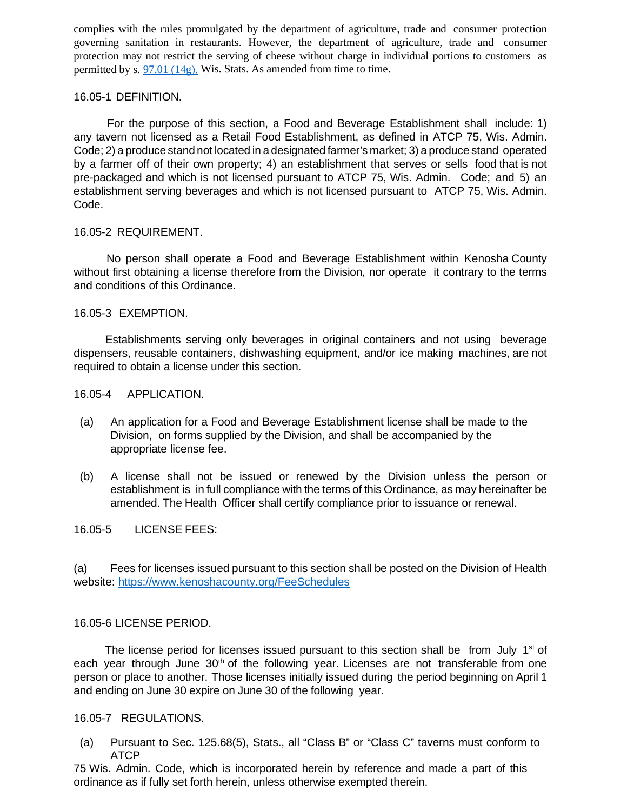complies with the rules promulgated by the department of agriculture, trade and consumer protection governing sanitation in restaurants. However, the department of agriculture, trade and consumer protection may not restrict the serving of cheese without charge in individual portions to customers as permitted by s. 97.01 [\(14g\).](https://docs.legis.wisconsin.gov/document/statutes/97.01(14g)) Wis. Stats. As amended from time to time.

#### 16.05-1 DEFINITION.

 For the purpose of this section, a Food and Beverage Establishment shall include: 1) any tavern not licensed as a Retail Food Establishment, as defined in ATCP 75, Wis. Admin. Code; 2) a produce stand not located in a designated farmer's market; 3) a produce stand operated by a farmer off of their own property; 4) an establishment that serves or sells food that is not pre-packaged and which is not licensed pursuant to ATCP 75, Wis. Admin. Code; and 5) an establishment serving beverages and which is not licensed pursuant to ATCP 75, Wis. Admin. Code.

### 16.05-2 REQUIREMENT.

 No person shall operate a Food and Beverage Establishment within Kenosha County without first obtaining a license therefore from the Division, nor operate it contrary to the terms and conditions of this Ordinance.

### 16.05-3 EXEMPTION.

 Establishments serving only beverages in original containers and not using beverage dispensers, reusable containers, dishwashing equipment, and/or ice making machines, are not required to obtain a license under this section.

16.05-4 APPLICATION.

- (a) An application for a Food and Beverage Establishment license shall be made to the Division, on forms supplied by the Division, and shall be accompanied by the appropriate license fee.
- (b) A license shall not be issued or renewed by the Division unless the person or establishment is in full compliance with the terms of this Ordinance, as may hereinafter be amended. The Health Officer shall certify compliance prior to issuance or renewal.

16.05-5 LICENSE FEES:

(a) Fees for licenses issued pursuant to this section shall be posted on the Division of Health website: [https://www.kenoshacounty.org/FeeSchedules](https://gcc02.safelinks.protection.outlook.com/?url=https%3A%2F%2Fwww.kenoshacounty.org%2FFeeSchedules&data=04%7C01%7CMark.Melotik%40kenoshacounty.org%7Cd19d54b4d22d4a99cb2308d9e0f2ba94%7C398ef54a8fda4dbc9488d353f54c7af3%7C1%7C0%7C637788155377071208%7CUnknown%7CTWFpbGZsb3d8eyJWIjoiMC4wLjAwMDAiLCJQIjoiV2luMzIiLCJBTiI6Ik1haWwiLCJXVCI6Mn0%3D%7C3000&sdata=4Z5fXvLkNmQzkQpYzWfm3P6335tKlxO2P%2Ffv0uXxPas%3D&reserved=0)

### 16.05-6 LICENSE PERIOD.

The license period for licenses issued pursuant to this section shall be from July  $1<sup>st</sup>$  of each year through June 30<sup>th</sup> of the following year. Licenses are not transferable from one person or place to another. Those licenses initially issued during the period beginning on April 1 and ending on June 30 expire on June 30 of the following year.

### 16.05-7 REGULATIONS.

(a) Pursuant to Sec. 125.68(5), Stats., all "Class B" or "Class C" taverns must conform to ATCP

75 Wis. Admin. Code, which is incorporated herein by reference and made a part of this ordinance as if fully set forth herein, unless otherwise exempted therein.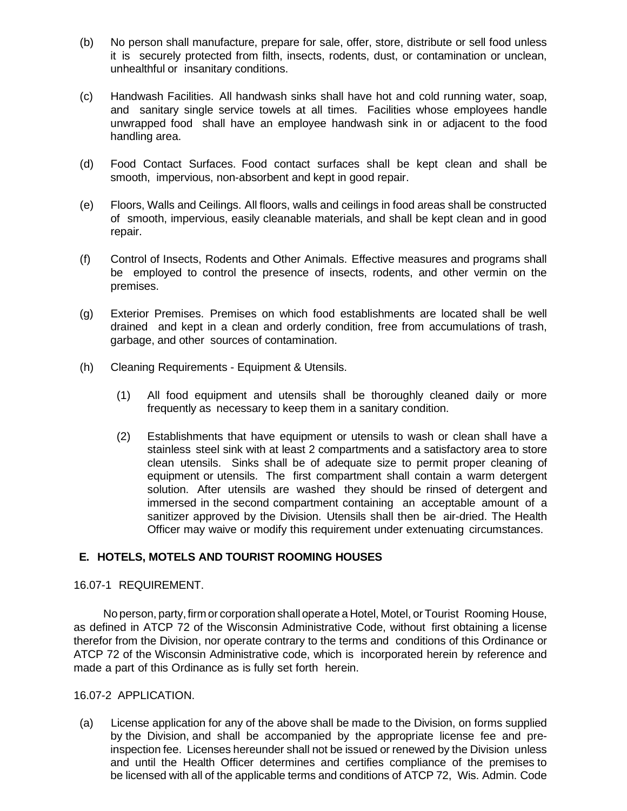- (b) No person shall manufacture, prepare for sale, offer, store, distribute or sell food unless it is securely protected from filth, insects, rodents, dust, or contamination or unclean, unhealthful or insanitary conditions.
- (c) Handwash Facilities. All handwash sinks shall have hot and cold running water, soap, and sanitary single service towels at all times. Facilities whose employees handle unwrapped food shall have an employee handwash sink in or adjacent to the food handling area.
- (d) Food Contact Surfaces. Food contact surfaces shall be kept clean and shall be smooth, impervious, non-absorbent and kept in good repair.
- (e) Floors, Walls and Ceilings. All floors, walls and ceilings in food areas shall be constructed of smooth, impervious, easily cleanable materials, and shall be kept clean and in good repair.
- (f) Control of Insects, Rodents and Other Animals. Effective measures and programs shall be employed to control the presence of insects, rodents, and other vermin on the premises.
- (g) Exterior Premises. Premises on which food establishments are located shall be well drained and kept in a clean and orderly condition, free from accumulations of trash, garbage, and other sources of contamination.
- (h) Cleaning Requirements Equipment & Utensils.
	- (1) All food equipment and utensils shall be thoroughly cleaned daily or more frequently as necessary to keep them in a sanitary condition.
	- (2) Establishments that have equipment or utensils to wash or clean shall have a stainless steel sink with at least 2 compartments and a satisfactory area to store clean utensils. Sinks shall be of adequate size to permit proper cleaning of equipment or utensils. The first compartment shall contain a warm detergent solution. After utensils are washed they should be rinsed of detergent and immersed in the second compartment containing an acceptable amount of a sanitizer approved by the Division. Utensils shall then be air-dried. The Health Officer may waive or modify this requirement under extenuating circumstances.

# **E. HOTELS, MOTELS AND TOURIST ROOMING HOUSES**

16.07-1 REQUIREMENT.

No person, party, firm or corporation shall operate a Hotel, Motel, or Tourist Rooming House, as defined in ATCP 72 of the Wisconsin Administrative Code, without first obtaining a license therefor from the Division, nor operate contrary to the terms and conditions of this Ordinance or ATCP 72 of the Wisconsin Administrative code, which is incorporated herein by reference and made a part of this Ordinance as is fully set forth herein.

### 16.07-2 APPLICATION.

(a) License application for any of the above shall be made to the Division, on forms supplied by the Division, and shall be accompanied by the appropriate license fee and preinspection fee. Licenses hereunder shall not be issued or renewed by the Division unless and until the Health Officer determines and certifies compliance of the premises to be licensed with all of the applicable terms and conditions of ATCP 72, Wis. Admin. Code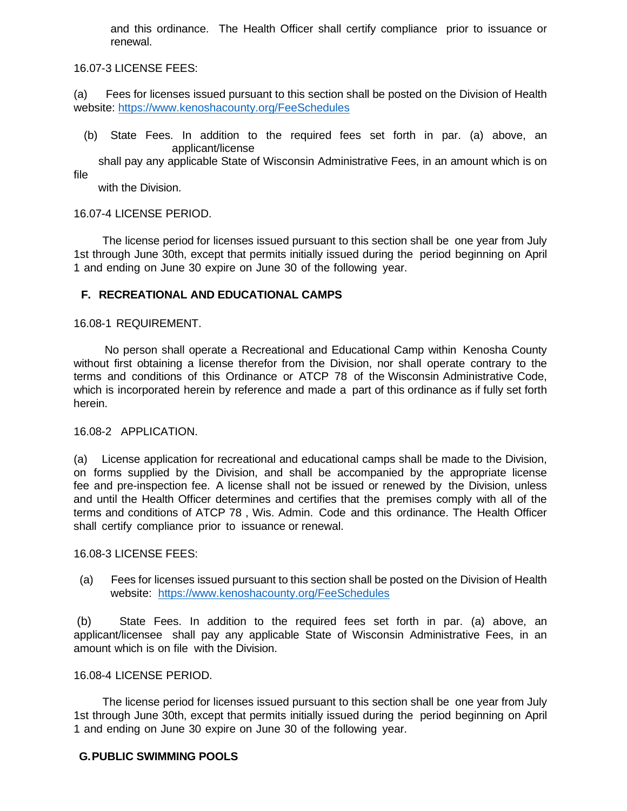and this ordinance. The Health Officer shall certify compliance prior to issuance or renewal.

16.07-3 LICENSE FEES:

(a) Fees for licenses issued pursuant to this section shall be posted on the Division of Health website: [https://www.kenoshacounty.org/FeeSchedules](https://gcc02.safelinks.protection.outlook.com/?url=https%3A%2F%2Fwww.kenoshacounty.org%2FFeeSchedules&data=04%7C01%7CMark.Melotik%40kenoshacounty.org%7Cd19d54b4d22d4a99cb2308d9e0f2ba94%7C398ef54a8fda4dbc9488d353f54c7af3%7C1%7C0%7C637788155377071208%7CUnknown%7CTWFpbGZsb3d8eyJWIjoiMC4wLjAwMDAiLCJQIjoiV2luMzIiLCJBTiI6Ik1haWwiLCJXVCI6Mn0%3D%7C3000&sdata=4Z5fXvLkNmQzkQpYzWfm3P6335tKlxO2P%2Ffv0uXxPas%3D&reserved=0)

(b) State Fees. In addition to the required fees set forth in par. (a) above, an applicant/license

 shall pay any applicable State of Wisconsin Administrative Fees, in an amount which is on file

with the Division.

### 16.07-4 LICENSE PERIOD.

 The license period for licenses issued pursuant to this section shall be one year from July 1st through June 30th, except that permits initially issued during the period beginning on April 1 and ending on June 30 expire on June 30 of the following year.

### **F. RECREATIONAL AND EDUCATIONAL CAMPS**

#### 16.08-1 REQUIREMENT.

 No person shall operate a Recreational and Educational Camp within Kenosha County without first obtaining a license therefor from the Division, nor shall operate contrary to the terms and conditions of this Ordinance or ATCP 78 of the Wisconsin Administrative Code, which is incorporated herein by reference and made a part of this ordinance as if fully set forth herein.

#### 16.08-2 APPLICATION.

(a) License application for recreational and educational camps shall be made to the Division, on forms supplied by the Division, and shall be accompanied by the appropriate license fee and pre-inspection fee. A license shall not be issued or renewed by the Division, unless and until the Health Officer determines and certifies that the premises comply with all of the terms and conditions of ATCP 78 , Wis. Admin. Code and this ordinance. The Health Officer shall certify compliance prior to issuance or renewal.

16.08-3 LICENSE FEES:

(a) Fees for licenses issued pursuant to this section shall be posted on the Division of Health website: [https://www.kenoshacounty.org/FeeSchedules](https://gcc02.safelinks.protection.outlook.com/?url=https%3A%2F%2Fwww.kenoshacounty.org%2FFeeSchedules&data=04%7C01%7CMark.Melotik%40kenoshacounty.org%7Cd19d54b4d22d4a99cb2308d9e0f2ba94%7C398ef54a8fda4dbc9488d353f54c7af3%7C1%7C0%7C637788155377071208%7CUnknown%7CTWFpbGZsb3d8eyJWIjoiMC4wLjAwMDAiLCJQIjoiV2luMzIiLCJBTiI6Ik1haWwiLCJXVCI6Mn0%3D%7C3000&sdata=4Z5fXvLkNmQzkQpYzWfm3P6335tKlxO2P%2Ffv0uXxPas%3D&reserved=0)

(b) State Fees. In addition to the required fees set forth in par. (a) above, an applicant/licensee shall pay any applicable State of Wisconsin Administrative Fees, in an amount which is on file with the Division.

#### 16.08-4 LICENSE PERIOD.

 The license period for licenses issued pursuant to this section shall be one year from July 1st through June 30th, except that permits initially issued during the period beginning on April 1 and ending on June 30 expire on June 30 of the following year.

### **G.PUBLIC SWIMMING POOLS**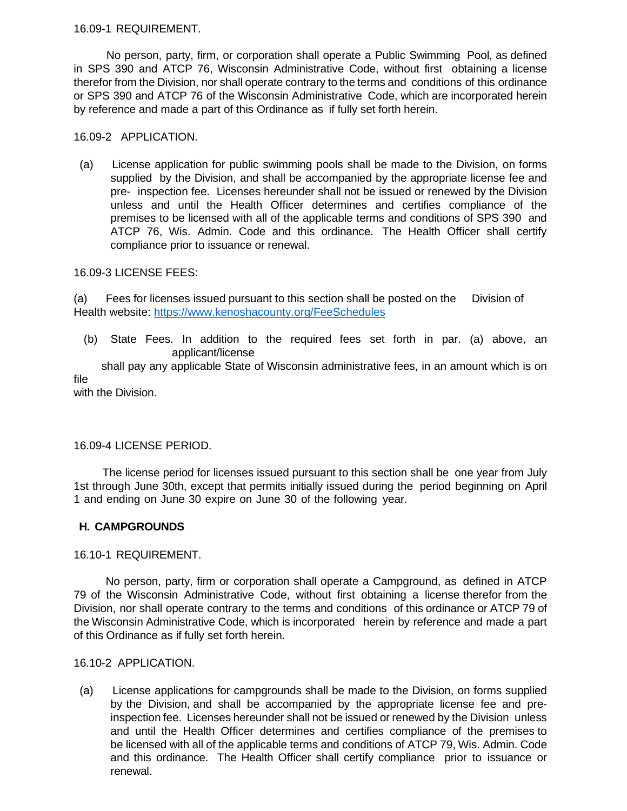16.09-1 REQUIREMENT.

 No person, party, firm, or corporation shall operate a Public Swimming Pool, as defined in SPS 390 and ATCP 76, Wisconsin Administrative Code, without first obtaining a license therefor from the Division, nor shall operate contrary to the terms and conditions of this ordinance or SPS 390 and ATCP 76 of the Wisconsin Administrative Code, which are incorporated herein by reference and made a part of this Ordinance as if fully set forth herein.

### 16.09-2 APPLICATION.

(a) License application for public swimming pools shall be made to the Division, on forms supplied by the Division, and shall be accompanied by the appropriate license fee and pre- inspection fee. Licenses hereunder shall not be issued or renewed by the Division unless and until the Health Officer determines and certifies compliance of the premises to be licensed with all of the applicable terms and conditions of SPS 390 and ATCP 76, Wis. Admin. Code and this ordinance. The Health Officer shall certify compliance prior to issuance or renewal.

### 16.09-3 LICENSE FEES:

(a) Fees for licenses issued pursuant to this section shall be posted on the Division of Health website: [https://www.kenoshacounty.org/FeeSchedules](https://gcc02.safelinks.protection.outlook.com/?url=https%3A%2F%2Fwww.kenoshacounty.org%2FFeeSchedules&data=04%7C01%7CMark.Melotik%40kenoshacounty.org%7Cd19d54b4d22d4a99cb2308d9e0f2ba94%7C398ef54a8fda4dbc9488d353f54c7af3%7C1%7C0%7C637788155377071208%7CUnknown%7CTWFpbGZsb3d8eyJWIjoiMC4wLjAwMDAiLCJQIjoiV2luMzIiLCJBTiI6Ik1haWwiLCJXVCI6Mn0%3D%7C3000&sdata=4Z5fXvLkNmQzkQpYzWfm3P6335tKlxO2P%2Ffv0uXxPas%3D&reserved=0)

(b) State Fees. In addition to the required fees set forth in par. (a) above, an applicant/license

 shall pay any applicable State of Wisconsin administrative fees, in an amount which is on file

with the Division.

# 16.09-4 LICENSE PERIOD.

 The license period for licenses issued pursuant to this section shall be one year from July 1st through June 30th, except that permits initially issued during the period beginning on April 1 and ending on June 30 expire on June 30 of the following year.

# **H. CAMPGROUNDS**

### 16.10-1 REQUIREMENT.

 No person, party, firm or corporation shall operate a Campground, as defined in ATCP 79 of the Wisconsin Administrative Code, without first obtaining a license therefor from the Division, nor shall operate contrary to the terms and conditions of this ordinance or ATCP 79 of the Wisconsin Administrative Code, which is incorporated herein by reference and made a part of this Ordinance as if fully set forth herein.

### 16.10-2 APPLICATION.

(a) License applications for campgrounds shall be made to the Division, on forms supplied by the Division, and shall be accompanied by the appropriate license fee and preinspection fee. Licenses hereunder shall not be issued or renewed by the Division unless and until the Health Officer determines and certifies compliance of the premises to be licensed with all of the applicable terms and conditions of ATCP 79, Wis. Admin. Code and this ordinance. The Health Officer shall certify compliance prior to issuance or renewal.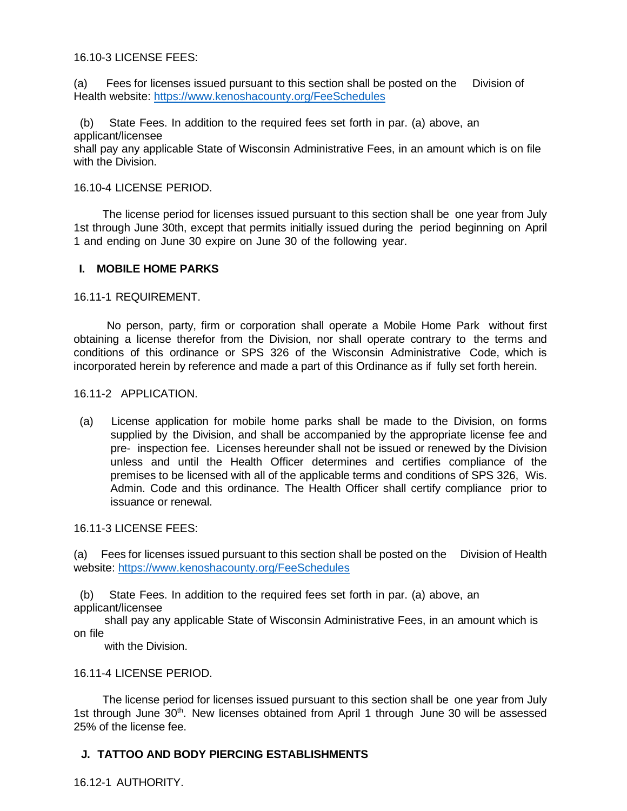16.10-3 LICENSE FEES:

(a) Fees for licenses issued pursuant to this section shall be posted on the Division of Health website: [https://www.kenoshacounty.org/FeeSchedules](https://gcc02.safelinks.protection.outlook.com/?url=https%3A%2F%2Fwww.kenoshacounty.org%2FFeeSchedules&data=04%7C01%7CMark.Melotik%40kenoshacounty.org%7Cd19d54b4d22d4a99cb2308d9e0f2ba94%7C398ef54a8fda4dbc9488d353f54c7af3%7C1%7C0%7C637788155377071208%7CUnknown%7CTWFpbGZsb3d8eyJWIjoiMC4wLjAwMDAiLCJQIjoiV2luMzIiLCJBTiI6Ik1haWwiLCJXVCI6Mn0%3D%7C3000&sdata=4Z5fXvLkNmQzkQpYzWfm3P6335tKlxO2P%2Ffv0uXxPas%3D&reserved=0)

 (b) State Fees. In addition to the required fees set forth in par. (a) above, an applicant/licensee shall pay any applicable State of Wisconsin Administrative Fees, in an amount which is on file with the Division.

### 16.10-4 LICENSE PERIOD.

 The license period for licenses issued pursuant to this section shall be one year from July 1st through June 30th, except that permits initially issued during the period beginning on April 1 and ending on June 30 expire on June 30 of the following year.

### **I. MOBILE HOME PARKS**

### 16.11-1 REQUIREMENT.

 No person, party, firm or corporation shall operate a Mobile Home Park without first obtaining a license therefor from the Division, nor shall operate contrary to the terms and conditions of this ordinance or SPS 326 of the Wisconsin Administrative Code, which is incorporated herein by reference and made a part of this Ordinance as if fully set forth herein.

### 16.11-2 APPLICATION.

(a) License application for mobile home parks shall be made to the Division, on forms supplied by the Division, and shall be accompanied by the appropriate license fee and pre- inspection fee. Licenses hereunder shall not be issued or renewed by the Division unless and until the Health Officer determines and certifies compliance of the premises to be licensed with all of the applicable terms and conditions of SPS 326, Wis. Admin. Code and this ordinance. The Health Officer shall certify compliance prior to issuance or renewal.

16.11-3 LICENSE FEES:

(a) Fees for licenses issued pursuant to this section shall be posted on the Division of Health website: [https://www.kenoshacounty.org/FeeSchedules](https://gcc02.safelinks.protection.outlook.com/?url=https%3A%2F%2Fwww.kenoshacounty.org%2FFeeSchedules&data=04%7C01%7CMark.Melotik%40kenoshacounty.org%7Cd19d54b4d22d4a99cb2308d9e0f2ba94%7C398ef54a8fda4dbc9488d353f54c7af3%7C1%7C0%7C637788155377071208%7CUnknown%7CTWFpbGZsb3d8eyJWIjoiMC4wLjAwMDAiLCJQIjoiV2luMzIiLCJBTiI6Ik1haWwiLCJXVCI6Mn0%3D%7C3000&sdata=4Z5fXvLkNmQzkQpYzWfm3P6335tKlxO2P%2Ffv0uXxPas%3D&reserved=0)

 (b) State Fees. In addition to the required fees set forth in par. (a) above, an applicant/licensee

 shall pay any applicable State of Wisconsin Administrative Fees, in an amount which is on file

with the Division.

### 16.11-4 LICENSE PERIOD.

 The license period for licenses issued pursuant to this section shall be one year from July 1st through June 30<sup>th</sup>. New licenses obtained from April 1 through June 30 will be assessed 25% of the license fee.

# **J. TATTOO AND BODY PIERCING ESTABLISHMENTS**

16.12-1 AUTHORITY.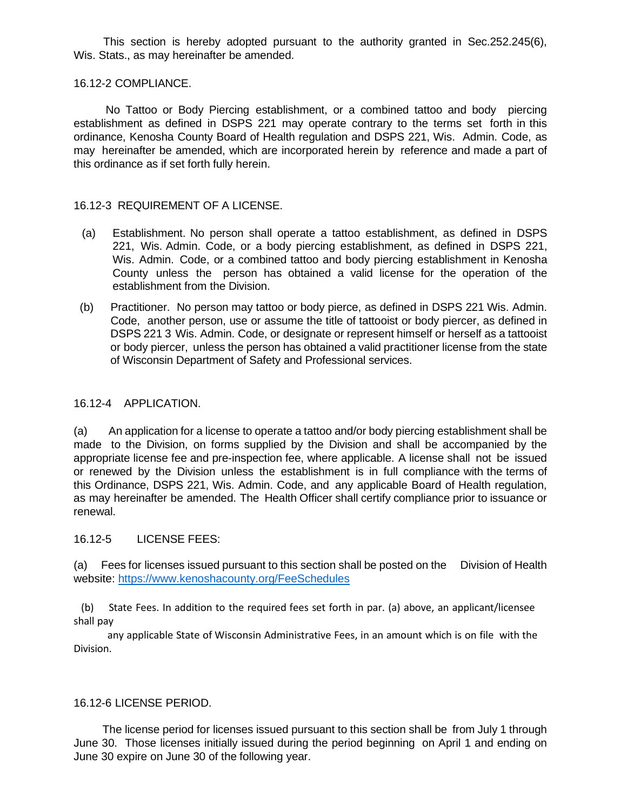This section is hereby adopted pursuant to the authority granted in Sec.252.245(6), Wis. Stats., as may hereinafter be amended.

### 16.12-2 COMPLIANCE.

 No Tattoo or Body Piercing establishment, or a combined tattoo and body piercing establishment as defined in DSPS 221 may operate contrary to the terms set forth in this ordinance, Kenosha County Board of Health regulation and DSPS 221, Wis. Admin. Code, as may hereinafter be amended, which are incorporated herein by reference and made a part of this ordinance as if set forth fully herein.

### 16.12-3 REQUIREMENT OF A LICENSE.

- (a) Establishment. No person shall operate a tattoo establishment, as defined in DSPS 221, Wis. Admin. Code, or a body piercing establishment, as defined in DSPS 221, Wis. Admin. Code, or a combined tattoo and body piercing establishment in Kenosha County unless the person has obtained a valid license for the operation of the establishment from the Division.
- (b) Practitioner. No person may tattoo or body pierce, as defined in DSPS 221 Wis. Admin. Code, another person, use or assume the title of tattooist or body piercer, as defined in DSPS 221 3 Wis. Admin. Code, or designate or represent himself or herself as a tattooist or body piercer, unless the person has obtained a valid practitioner license from the state of Wisconsin Department of Safety and Professional services.

#### 16.12-4 APPLICATION.

(a) An application for a license to operate a tattoo and/or body piercing establishment shall be made to the Division, on forms supplied by the Division and shall be accompanied by the appropriate license fee and pre-inspection fee, where applicable. A license shall not be issued or renewed by the Division unless the establishment is in full compliance with the terms of this Ordinance, DSPS 221, Wis. Admin. Code, and any applicable Board of Health regulation, as may hereinafter be amended. The Health Officer shall certify compliance prior to issuance or renewal.

#### 16.12-5 LICENSE FEES:

(a) Fees for licenses issued pursuant to this section shall be posted on the Division of Health website: [https://www.kenoshacounty.org/FeeSchedules](https://gcc02.safelinks.protection.outlook.com/?url=https%3A%2F%2Fwww.kenoshacounty.org%2FFeeSchedules&data=04%7C01%7CMark.Melotik%40kenoshacounty.org%7Cd19d54b4d22d4a99cb2308d9e0f2ba94%7C398ef54a8fda4dbc9488d353f54c7af3%7C1%7C0%7C637788155377071208%7CUnknown%7CTWFpbGZsb3d8eyJWIjoiMC4wLjAwMDAiLCJQIjoiV2luMzIiLCJBTiI6Ik1haWwiLCJXVCI6Mn0%3D%7C3000&sdata=4Z5fXvLkNmQzkQpYzWfm3P6335tKlxO2P%2Ffv0uXxPas%3D&reserved=0)

 (b) State Fees. In addition to the required fees set forth in par. (a) above, an applicant/licensee shall pay

 any applicable State of Wisconsin Administrative Fees, in an amount which is on file with the Division.

#### 16.12-6 LICENSE PERIOD.

 The license period for licenses issued pursuant to this section shall be from July 1 through June 30. Those licenses initially issued during the period beginning on April 1 and ending on June 30 expire on June 30 of the following year.